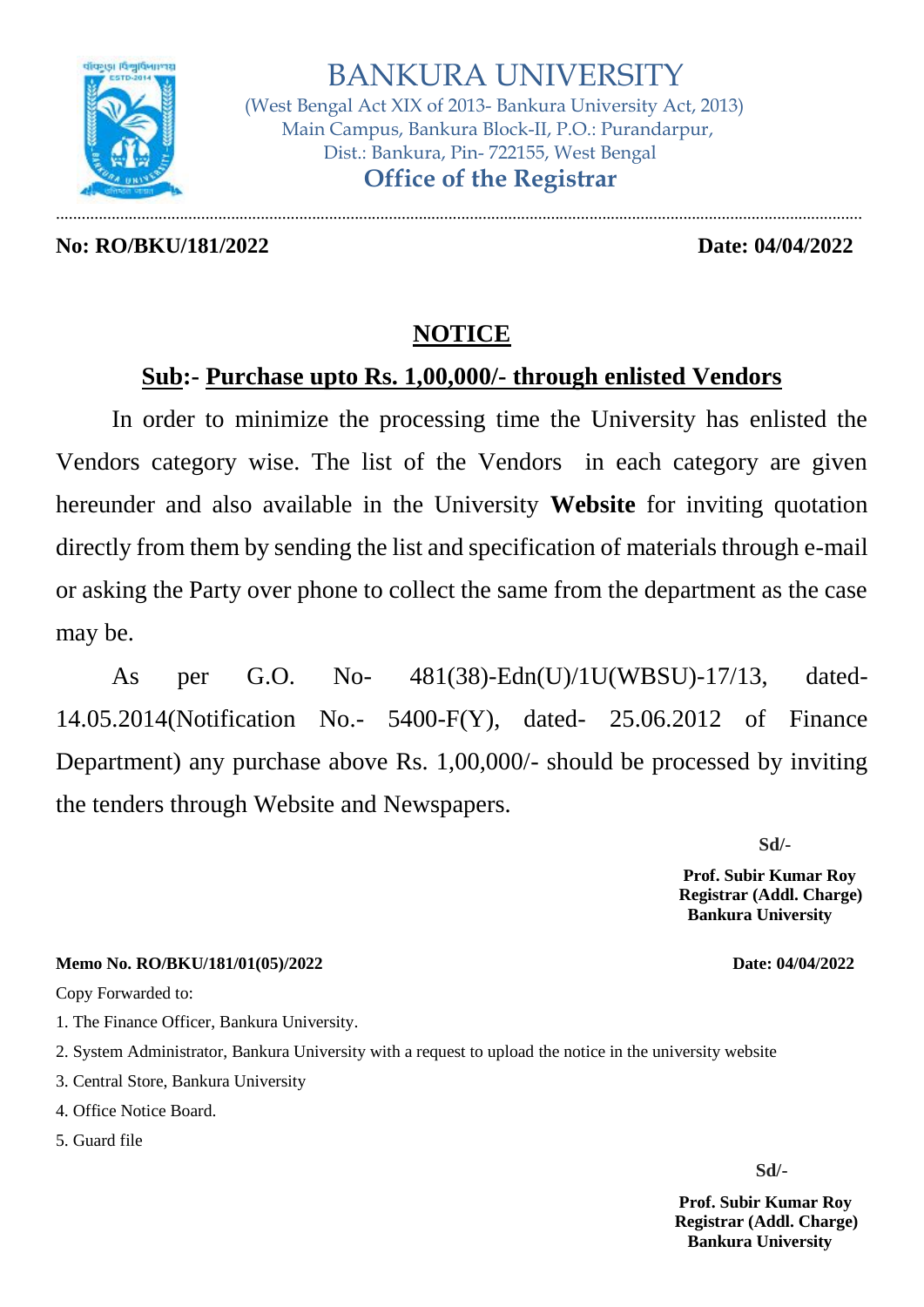

 (West Bengal Act XIX of 2013- Bankura University Act, 2013) Main Campus, Bankura Block-II, P.O.: Purandarpur, Dist.: Bankura, Pin- 722155, West Bengal  **Office of the Registrar**

**No: RO/BKU/181/2022 Date: 04/04/2022**

.............................................................................................................................................................................................

# **NOTICE**

# **Sub:- Purchase upto Rs. 1,00,000/- through enlisted Vendors**

In order to minimize the processing time the University has enlisted the Vendors category wise. The list of the Vendors in each category are given hereunder and also available in the University **Website** for inviting quotation directly from them by sending the list and specification of materials through e-mail or asking the Party over phone to collect the same from the department as the case may be.

As per G.O. No- 481(38)-Edn(U)/1U(WBSU)-17/13, dated-14.05.2014(Notification No.- 5400-F(Y), dated- 25.06.2012 of Finance Department) any purchase above Rs. 1,00,000/- should be processed by inviting the tenders through Website and Newspapers.

**Sd/-**

 **Prof. Subir Kumar Roy Registrar (Addl. Charge) Bankura University**

**Memo No. RO/BKU/181/01(05)/2022 Date: 04/04/2022**

Copy Forwarded to:

1. The Finance Officer, Bankura University.

- 2. System Administrator, Bankura University with a request to upload the notice in the university website
- 3. Central Store, Bankura University
- 4. Office Notice Board.

5. Guard file

**Sd/-**

 **Prof. Subir Kumar Roy Registrar (Addl. Charge) Bankura University**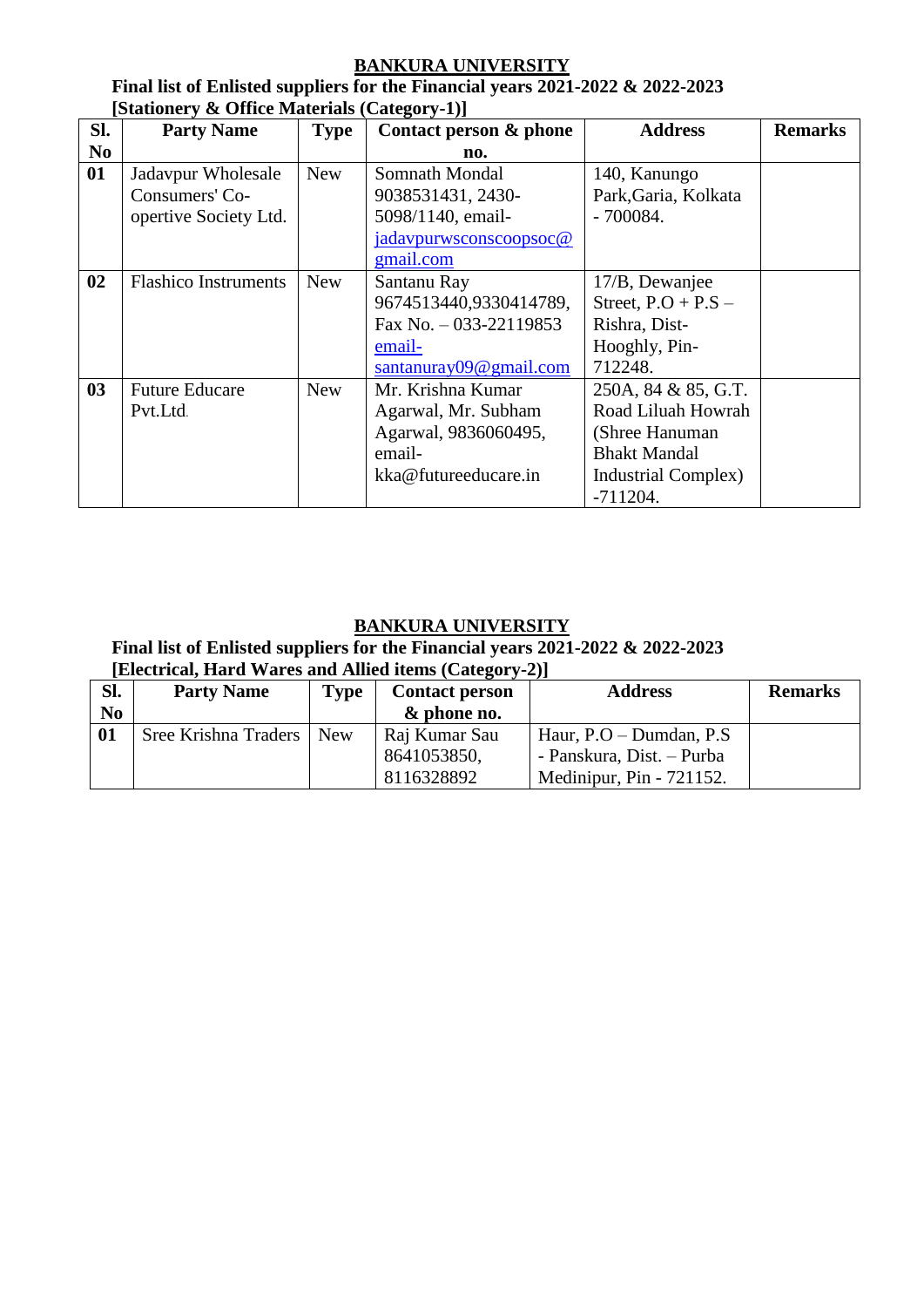**Final list of Enlisted suppliers for the Financial years 2021-2022 & 2022-2023 [Stationery & Office Materials (Category-1)]**

| Sl.            | <b>Party Name</b>           | <b>Type</b> | Contact person & phone     | <b>Address</b>        | <b>Remarks</b> |
|----------------|-----------------------------|-------------|----------------------------|-----------------------|----------------|
| N <sub>0</sub> |                             |             | no.                        |                       |                |
| 01             | Jadavpur Wholesale          | <b>New</b>  | Somnath Mondal             | 140, Kanungo          |                |
|                | Consumers' Co-              |             | 9038531431, 2430-          | Park, Garia, Kolkata  |                |
|                | opertive Society Ltd.       |             | 5098/1140, email-          | $-700084.$            |                |
|                |                             |             | jadavpurwsconscoopsoc@     |                       |                |
|                |                             |             | gmail.com                  |                       |                |
| 02             | <b>Flashico Instruments</b> | <b>New</b>  | Santanu Ray                | 17/B, Dewanjee        |                |
|                |                             |             | 9674513440,9330414789,     | Street, $P.O + P.S -$ |                |
|                |                             |             | Fax No. $-033-22119853$    | Rishra, Dist-         |                |
|                |                             |             | email-                     | Hooghly, Pin-         |                |
|                |                             |             | santanuray $09@$ gmail.com | 712248.               |                |
| 0 <sub>3</sub> | <b>Future Educare</b>       | <b>New</b>  | Mr. Krishna Kumar          | 250A, 84 & 85, G.T.   |                |
|                | Pvt.Ltd.                    |             | Agarwal, Mr. Subham        | Road Liluah Howrah    |                |
|                |                             |             | Agarwal, 9836060495,       | (Shree Hanuman        |                |
|                |                             |             | email-                     | <b>Bhakt Mandal</b>   |                |
|                |                             |             | kka@futureeducare.in       | Industrial Complex)   |                |
|                |                             |             |                            | $-711204.$            |                |

# **BANKURA UNIVERSITY**

**Final list of Enlisted suppliers for the Financial years 2021-2022 & 2022-2023**

| [Electrical, Hard Wares and Allied items (Category-2)] |                                                                             |  |               |                              |                |
|--------------------------------------------------------|-----------------------------------------------------------------------------|--|---------------|------------------------------|----------------|
| Sl.                                                    | <b>Address</b><br><b>Party Name</b><br><b>Type</b><br><b>Contact person</b> |  |               |                              | <b>Remarks</b> |
| N <sub>0</sub>                                         |                                                                             |  | & phone no.   |                              |                |
| 01                                                     | Sree Krishna Traders   New                                                  |  | Raj Kumar Sau | Haur, $P.O - Dumdan$ , $P.S$ |                |
|                                                        |                                                                             |  | 8641053850,   | - Panskura, Dist. – Purba    |                |
|                                                        |                                                                             |  | 8116328892    | Medinipur, Pin - 721152.     |                |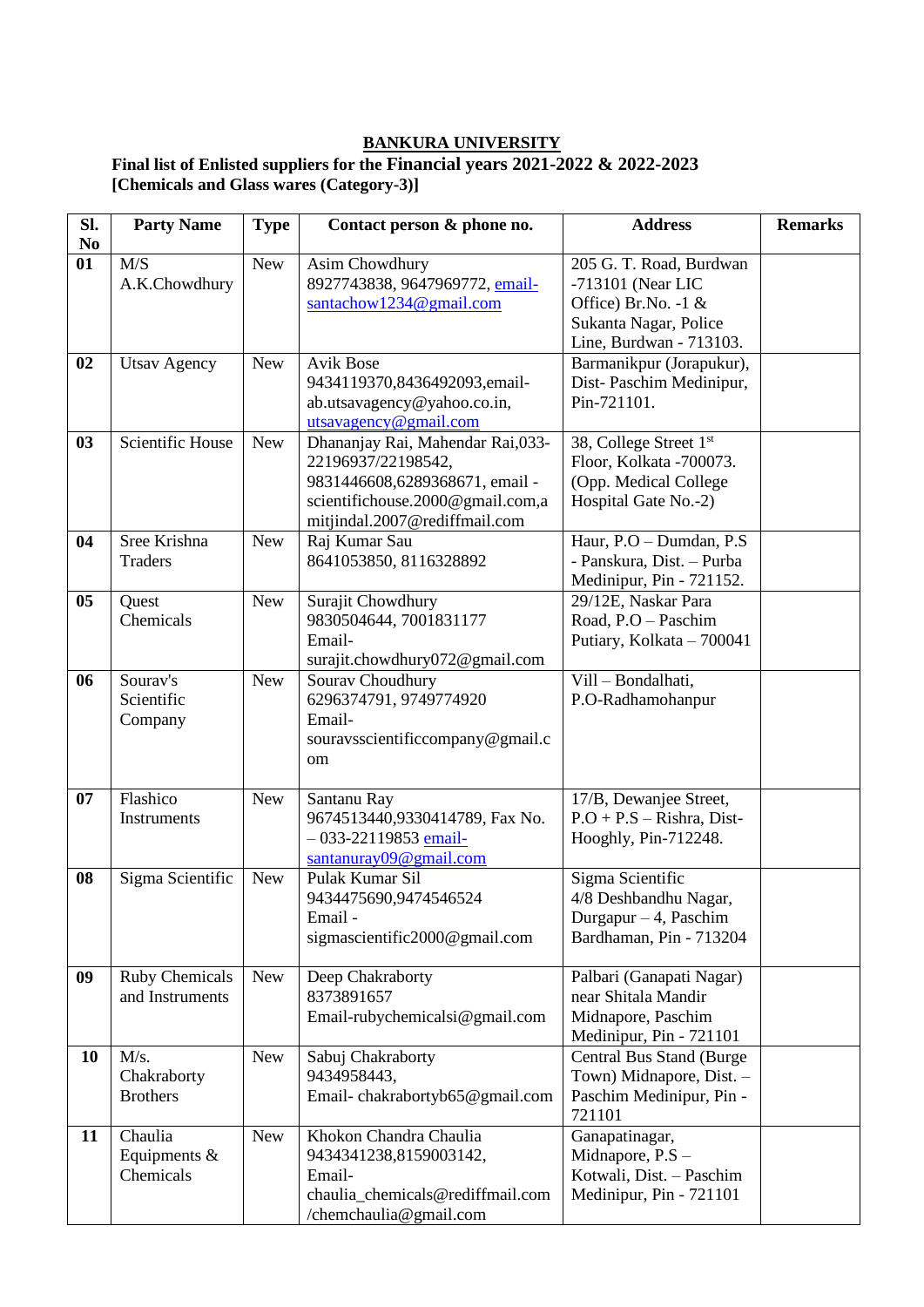#### **Final list of Enlisted suppliers for the Financial years 2021-2022 & 2022-2023 [Chemicals and Glass wares (Category-3)]**

| Sl.<br>No | <b>Party Name</b>                        | <b>Type</b> | Contact person & phone no.                                                                                                                                     | <b>Address</b>                                                                                                          | <b>Remarks</b> |
|-----------|------------------------------------------|-------------|----------------------------------------------------------------------------------------------------------------------------------------------------------------|-------------------------------------------------------------------------------------------------------------------------|----------------|
| 01        | M/S<br>A.K.Chowdhury                     | <b>New</b>  | Asim Chowdhury<br>8927743838, 9647969772, email-<br>santachow1234@gmail.com                                                                                    | 205 G. T. Road, Burdwan<br>-713101 (Near LIC<br>Office) Br.No. -1 &<br>Sukanta Nagar, Police<br>Line, Burdwan - 713103. |                |
| 02        | <b>Utsav Agency</b>                      | <b>New</b>  | <b>Avik Bose</b><br>9434119370,8436492093,email-<br>ab.utsavagency@yahoo.co.in,<br>utsavagency@gmail.com                                                       | Barmanikpur (Jorapukur),<br>Dist-Paschim Medinipur,<br>Pin-721101.                                                      |                |
| 03        | Scientific House                         | <b>New</b>  | Dhananjay Rai, Mahendar Rai, 033-<br>22196937/22198542,<br>9831446608,6289368671, email -<br>scientifichouse.2000@gmail.com,a<br>mitjindal.2007@rediffmail.com | 38, College Street 1st<br>Floor, Kolkata -700073.<br>(Opp. Medical College<br>Hospital Gate No.-2)                      |                |
| 04        | Sree Krishna<br><b>Traders</b>           | <b>New</b>  | Raj Kumar Sau<br>8641053850, 8116328892                                                                                                                        | Haur, P.O - Dumdan, P.S.<br>- Panskura, Dist. - Purba<br>Medinipur, Pin - 721152.                                       |                |
| 05        | Quest<br>Chemicals                       | <b>New</b>  | Surajit Chowdhury<br>9830504644, 7001831177<br>Email-<br>surajit.chowdhury072@gmail.com                                                                        | 29/12E, Naskar Para<br>Road, P.O - Paschim<br>Putiary, Kolkata - 700041                                                 |                |
| 06        | Sourav's<br>Scientific<br>Company        | <b>New</b>  | Sourav Choudhury<br>6296374791, 9749774920<br>Email-<br>souravsscientificcompany@gmail.c<br>om                                                                 | Vill - Bondalhati,<br>P.O-Radhamohanpur                                                                                 |                |
| 07        | Flashico<br>Instruments                  | <b>New</b>  | Santanu Ray<br>9674513440,9330414789, Fax No.<br>$-033-22119853$ email-<br>santanuray09@gmail.com                                                              | 17/B, Dewanjee Street,<br>$P.O + P.S - Rishra, Dist-$<br>Hooghly, Pin-712248.                                           |                |
| 08        | Sigma Scientific                         | <b>New</b>  | Pulak Kumar Sil<br>9434475690,9474546524<br>Email-<br>sigmascientific2000@gmail.com                                                                            | Sigma Scientific<br>4/8 Deshbandhu Nagar,<br>Durgapur $-4$ , Paschim<br>Bardhaman, Pin - 713204                         |                |
| 09        | <b>Ruby Chemicals</b><br>and Instruments | <b>New</b>  | Deep Chakraborty<br>8373891657<br>Email-rubychemicalsi@gmail.com                                                                                               | Palbari (Ganapati Nagar)<br>near Shitala Mandir<br>Midnapore, Paschim<br>Medinipur, Pin - 721101                        |                |
| 10        | M/s.<br>Chakraborty<br><b>Brothers</b>   | <b>New</b>  | Sabuj Chakraborty<br>9434958443,<br>Email-chakrabortyb65@gmail.com                                                                                             | Central Bus Stand (Burge<br>Town) Midnapore, Dist. -<br>Paschim Medinipur, Pin -<br>721101                              |                |
| 11        | Chaulia<br>Equipments $\&$<br>Chemicals  | <b>New</b>  | Khokon Chandra Chaulia<br>9434341238,8159003142,<br>Email-<br>chaulia_chemicals@rediffmail.com<br>/chemchaulia@gmail.com                                       | Ganapatinagar,<br>Midnapore, P.S -<br>Kotwali, Dist. - Paschim<br>Medinipur, Pin - 721101                               |                |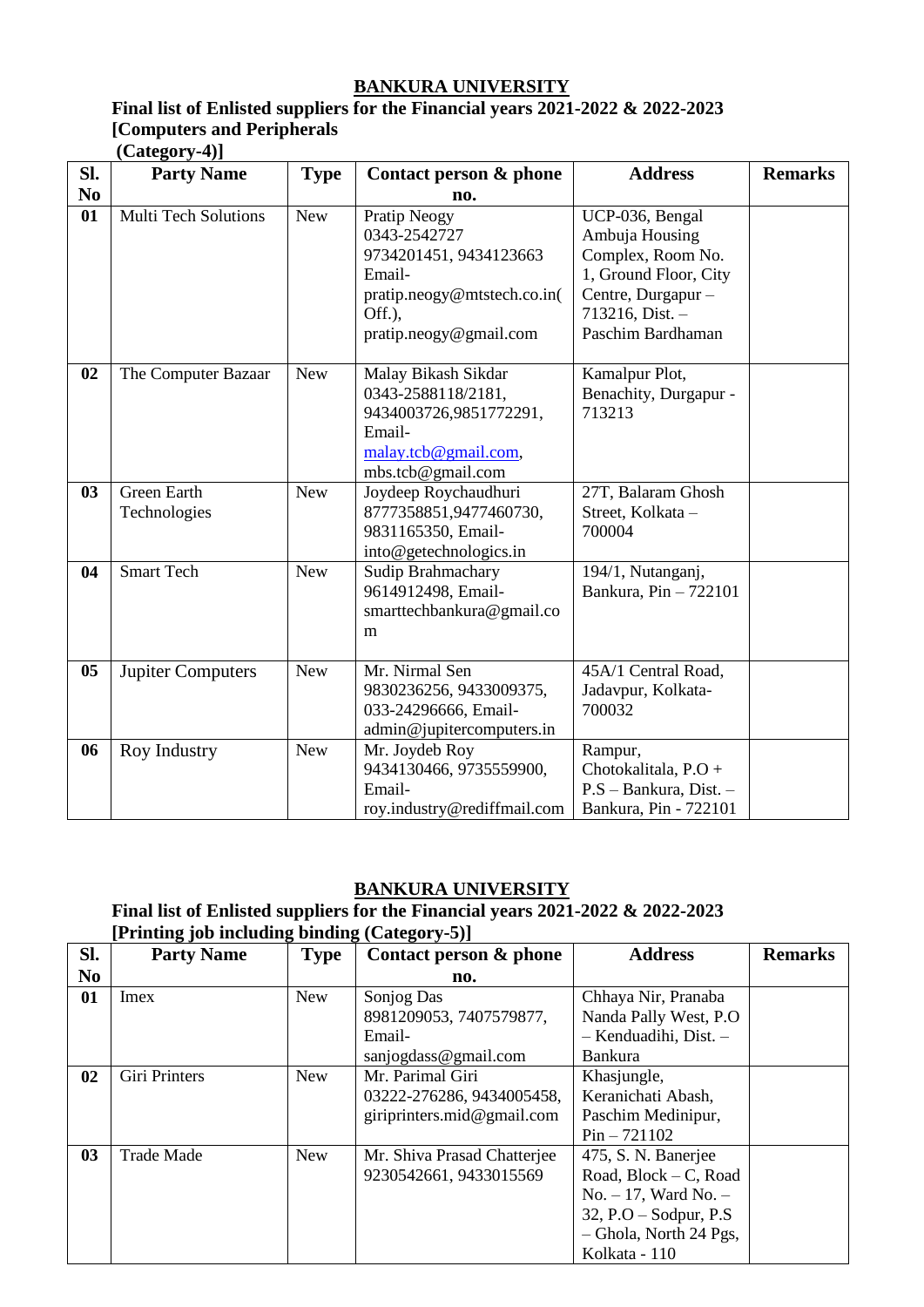## **Final list of Enlisted suppliers for the Financial years 2021-2022 & 2022-2023 [Computers and Peripherals (Category-4)]**

| SI.            | $($ Cancgory $\neg$<br><b>Party Name</b> | <b>Type</b> | Contact person & phone                                                                                                              | <b>Address</b>                                                                                                                                   | <b>Remarks</b> |
|----------------|------------------------------------------|-------------|-------------------------------------------------------------------------------------------------------------------------------------|--------------------------------------------------------------------------------------------------------------------------------------------------|----------------|
| N <sub>0</sub> |                                          |             | no.                                                                                                                                 |                                                                                                                                                  |                |
| 01             | <b>Multi Tech Solutions</b>              | <b>New</b>  | Pratip Neogy<br>0343-2542727<br>9734201451, 9434123663<br>Email-<br>pratip.neogy@mtstech.co.in(<br>Off.),<br>pratip.neogy@gmail.com | UCP-036, Bengal<br>Ambuja Housing<br>Complex, Room No.<br>1, Ground Floor, City<br>Centre, Durgapur -<br>$713216$ , Dist. -<br>Paschim Bardhaman |                |
| 02             | The Computer Bazaar                      | <b>New</b>  | Malay Bikash Sikdar<br>0343-2588118/2181,<br>9434003726,9851772291,<br>Email-<br>malay.tcb@gmail.com,<br>mbs.tcb@gmail.com          | Kamalpur Plot,<br>Benachity, Durgapur -<br>713213                                                                                                |                |
| 03             | <b>Green Earth</b><br>Technologies       | <b>New</b>  | Joydeep Roychaudhuri<br>8777358851,9477460730,<br>9831165350, Email-<br>into@getechnologics.in                                      | 27T, Balaram Ghosh<br>Street, Kolkata -<br>700004                                                                                                |                |
| 04             | <b>Smart Tech</b>                        | <b>New</b>  | Sudip Brahmachary<br>9614912498, Email-<br>smarttechbankura@gmail.co<br>m                                                           | 194/1, Nutanganj,<br>Bankura, Pin - 722101                                                                                                       |                |
| 05             | <b>Jupiter Computers</b>                 | <b>New</b>  | Mr. Nirmal Sen<br>9830236256, 9433009375,<br>033-24296666, Email-<br>admin@jupitercomputers.in                                      | 45A/1 Central Road,<br>Jadavpur, Kolkata-<br>700032                                                                                              |                |
| 06             | Roy Industry                             | <b>New</b>  | Mr. Joydeb Roy<br>9434130466, 9735559900,<br>Email-<br>roy.industry@rediffmail.com                                                  | Rampur,<br>Chotokalitala, P.O +<br>P.S - Bankura, Dist. -<br>Bankura, Pin - 722101                                                               |                |

#### **BANKURA UNIVERSITY**

# **Final list of Enlisted suppliers for the Financial years 2021-2022 & 2022-2023 [Printing job including binding (Category-5)]**

| SI.            | <b>Party Name</b> | <b>Type</b> | Contact person & phone      | <b>Address</b>            | <b>Remarks</b> |
|----------------|-------------------|-------------|-----------------------------|---------------------------|----------------|
| N <sub>0</sub> |                   |             | no.                         |                           |                |
| 01             | Imex              | <b>New</b>  | Sonjog Das                  | Chhaya Nir, Pranaba       |                |
|                |                   |             | 8981209053, 7407579877,     | Nanda Pally West, P.O.    |                |
|                |                   |             | Email-                      | - Kenduadihi, Dist. -     |                |
|                |                   |             | sanjogdass@gmail.com        | <b>Bankura</b>            |                |
| 02             | Giri Printers     | <b>New</b>  | Mr. Parimal Giri            | Khasjungle,               |                |
|                |                   |             | 03222-276286, 9434005458,   | Keranichati Abash,        |                |
|                |                   |             | giriprinters.mid@gmail.com  | Paschim Medinipur,        |                |
|                |                   |             |                             | $Pin - 721102$            |                |
| 03             | <b>Trade Made</b> | <b>New</b>  | Mr. Shiva Prasad Chatterjee | 475, S. N. Banerjee       |                |
|                |                   |             | 9230542661, 9433015569      | Road, $Block - C$ , Road  |                |
|                |                   |             |                             | $No. - 17$ , Ward No. $-$ |                |
|                |                   |             |                             | $32, P.O - Sodyur, P.S$   |                |
|                |                   |             |                             | - Ghola, North 24 Pgs,    |                |
|                |                   |             |                             | Kolkata - 110             |                |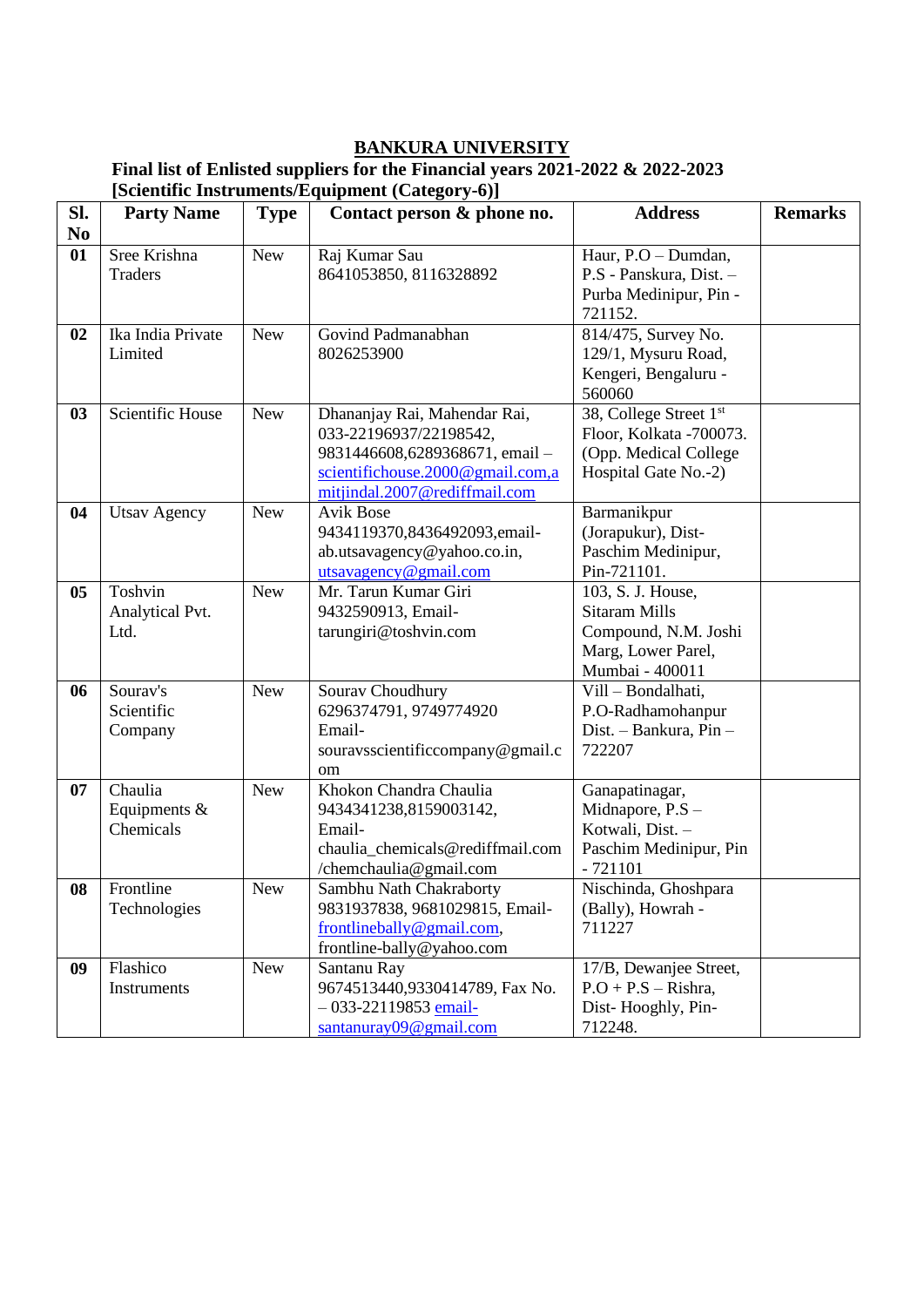#### **Final list of Enlisted suppliers for the Financial years 2021-2022 & 2022-2023 [Scientific Instruments/Equipment (Category-6)]**

| SI.            | <b>Party Name</b>                      | <b>Type</b> | Contact person & phone no.                                                                                                                                    | <b>Address</b>                                                                                             | <b>Remarks</b> |
|----------------|----------------------------------------|-------------|---------------------------------------------------------------------------------------------------------------------------------------------------------------|------------------------------------------------------------------------------------------------------------|----------------|
| N <sub>0</sub> |                                        |             |                                                                                                                                                               |                                                                                                            |                |
| 01             | Sree Krishna<br><b>Traders</b>         | <b>New</b>  | Raj Kumar Sau<br>8641053850, 8116328892                                                                                                                       | Haur, P.O - Dumdan,<br>P.S - Panskura, Dist. -<br>Purba Medinipur, Pin -<br>721152.                        |                |
| 02             | Ika India Private<br>Limited           | <b>New</b>  | Govind Padmanabhan<br>8026253900                                                                                                                              | 814/475, Survey No.<br>129/1, Mysuru Road,<br>Kengeri, Bengaluru -<br>560060                               |                |
| 03             | Scientific House                       | <b>New</b>  | Dhananjay Rai, Mahendar Rai,<br>033-22196937/22198542,<br>9831446608,6289368671, email -<br>scientifichouse.2000@gmail.com,a<br>mitjindal.2007@rediffmail.com | 38, College Street 1st<br>Floor, Kolkata -700073.<br>(Opp. Medical College<br>Hospital Gate No.-2)         |                |
| 04             | <b>Utsav Agency</b>                    | <b>New</b>  | <b>Avik Bose</b><br>9434119370,8436492093,email-<br>ab.utsavagency@yahoo.co.in,<br>utsavagency@gmail.com                                                      | Barmanikpur<br>(Jorapukur), Dist-<br>Paschim Medinipur,<br>Pin-721101.                                     |                |
| 05             | Toshvin<br>Analytical Pvt.<br>Ltd.     | <b>New</b>  | Mr. Tarun Kumar Giri<br>9432590913, Email-<br>tarungiri@toshvin.com                                                                                           | 103, S. J. House,<br><b>Sitaram Mills</b><br>Compound, N.M. Joshi<br>Marg, Lower Parel,<br>Mumbai - 400011 |                |
| 06             | Sourav's<br>Scientific<br>Company      | <b>New</b>  | Sourav Choudhury<br>6296374791, 9749774920<br>Email-<br>souravsscientificcompany@gmail.c<br>om                                                                | $\overline{\text{Vil}}$ l - Bondalhati,<br>P.O-Radhamohanpur<br>Dist. - Bankura, Pin -<br>722207           |                |
| 07             | Chaulia<br>Equipments $&$<br>Chemicals | <b>New</b>  | Khokon Chandra Chaulia<br>9434341238,8159003142,<br>Email-<br>chaulia_chemicals@rediffmail.com<br>/chemchaulia@gmail.com                                      | Ganapatinagar,<br>Midnapore, P.S -<br>Kotwali, Dist. -<br>Paschim Medinipur, Pin<br>$-721101$              |                |
| 08             | Frontline<br>Technologies              | <b>New</b>  | Sambhu Nath Chakraborty<br>9831937838, 9681029815, Email-<br>frontlinebally@gmail.com,<br>frontline-bally@yahoo.com                                           | Nischinda, Ghoshpara<br>(Bally), Howrah -<br>711227                                                        |                |
| 09             | Flashico<br>Instruments                | <b>New</b>  | Santanu Ray<br>9674513440,9330414789, Fax No.<br>$-033-22119853$ email-<br>$s$ antanuray $09@$ gmail.com                                                      | 17/B, Dewanjee Street,<br>$P.O + P.S - Rishra$ ,<br>Dist-Hooghly, Pin-<br>712248.                          |                |